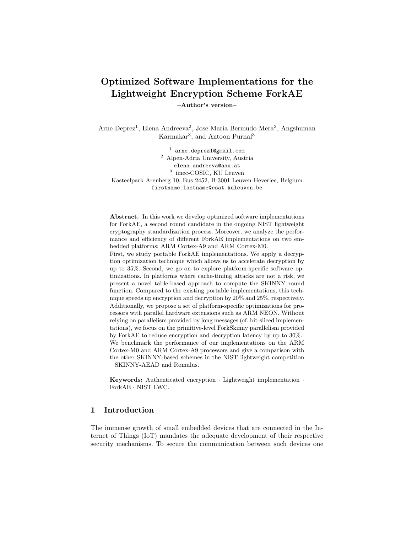# Optimized Software Implementations for the Lightweight Encryption Scheme ForkAE

–Author's version–

Arne Deprez<sup>1</sup>, Elena Andreeva<sup>2</sup>, Jose Maria Bermudo Mera<sup>3</sup>, Angshuman Karmakar<sup>3</sup>, and Antoon Purnal<sup>3</sup>

1 arne.deprez1@gmail.com <sup>2</sup> Alpen-Adria University, Austria elena.andreeva@aau.at 3 imec-COSIC, KU Leuven Kasteelpark Arenberg 10, Bus 2452, B-3001 Leuven-Heverlee, Belgium firstname.lastname@esat.kuleuven.be

Abstract. In this work we develop optimized software implementations for ForkAE, a second round candidate in the ongoing NIST lightweight cryptography standardization process. Moreover, we analyze the performance and efficiency of different ForkAE implementations on two embedded platforms: ARM Cortex-A9 and ARM Cortex-M0. First, we study portable ForkAE implementations. We apply a decryption optimization technique which allows us to accelerate decryption by up to 35%. Second, we go on to explore platform-specific software optimizations. In platforms where cache-timing attacks are not a risk, we present a novel table-based approach to compute the SKINNY round function. Compared to the existing portable implementations, this technique speeds up encryption and decryption by 20% and 25%, respectively. Additionally, we propose a set of platform-specific optimizations for processors with parallel hardware extensions such as ARM NEON. Without relying on parallelism provided by long messages (cf. bit-sliced implementations), we focus on the primitive-level ForkSkinny parallelism provided by ForkAE to reduce encryption and decryption latency by up to 30%. We benchmark the performance of our implementations on the ARM Cortex-M0 and ARM Cortex-A9 processors and give a comparison with the other SKINNY-based schemes in the NIST lightweight competition – SKINNY-AEAD and Romulus.

Keywords: Authenticated encryption · Lightweight implementation · ForkAE · NIST LWC.

# 1 Introduction

The immense growth of small embedded devices that are connected in the Internet of Things (IoT) mandates the adequate development of their respective security mechanisms. To secure the communication between such devices one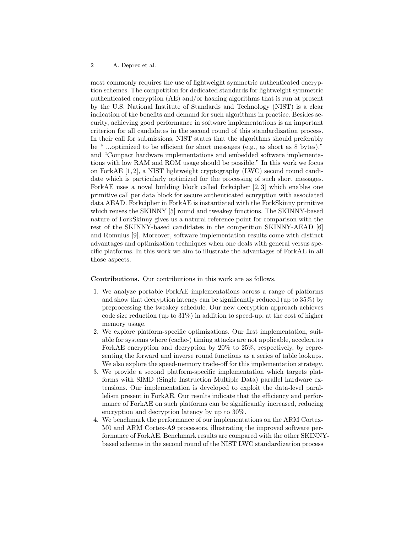most commonly requires the use of lightweight symmetric authenticated encryption schemes. The competition for dedicated standards for lightweight symmetric authenticated encryption (AE) and/or hashing algorithms that is run at present by the U.S. National Institute of Standards and Technology (NIST) is a clear indication of the benefits and demand for such algorithms in practice. Besides security, achieving good performance in software implementations is an important criterion for all candidates in the second round of this standardization process. In their call for submissions, NIST states that the algorithms should preferably be " ...optimized to be efficient for short messages (e.g., as short as 8 bytes)." and "Compact hardware implementations and embedded software implementations with low RAM and ROM usage should be possible." In this work we focus on ForkAE [\[1,](#page-14-0) [2\]](#page-14-1), a NIST lightweight cryptography (LWC) second round candidate which is particularly optimized for the processing of such short messages. ForkAE uses a novel building block called forkcipher [\[2,](#page-14-1) [3\]](#page-14-2) which enables one primitive call per data block for secure authenticated ecnryption with associated data AEAD. Forkcipher in ForkAE is instantiated with the ForkSkinny primitive which reuses the SKINNY [\[5\]](#page-14-3) round and tweakey functions. The SKINNY-based nature of ForkSkinny gives us a natural reference point for comparison with the rest of the SKINNY-based candidates in the competition SKINNY-AEAD [\[6\]](#page-14-4) and Romulus [\[9\]](#page-14-5). Moreover, software implementation results come with distinct advantages and optimization techniques when one deals with general versus specific platforms. In this work we aim to illustrate the advantages of ForkAE in all those aspects.

Contributions. Our contributions in this work are as follows.

- 1. We analyze portable ForkAE implementations across a range of platforms and show that decryption latency can be significantly reduced (up to 35%) by preprocessing the tweakey schedule. Our new decryption approach achieves code size reduction (up to  $31\%$ ) in addition to speed-up, at the cost of higher memory usage.
- 2. We explore platform-specific optimizations. Our first implementation, suitable for systems where (cache-) timing attacks are not applicable, accelerates ForkAE encryption and decryption by 20% to 25%, respectively, by representing the forward and inverse round functions as a series of table lookups. We also explore the speed-memory trade-off for this implementation strategy.
- 3. We provide a second platform-specific implementation which targets platforms with SIMD (Single Instruction Multiple Data) parallel hardware extensions. Our implementation is developed to exploit the data-level parallelism present in ForkAE. Our results indicate that the efficiency and performance of ForkAE on such platforms can be significantly increased, reducing encryption and decryption latency by up to 30%.
- 4. We benchmark the performance of our implementations on the ARM Cortex-M0 and ARM Cortex-A9 processors, illustrating the improved software performance of ForkAE. Benchmark results are compared with the other SKINNYbased schemes in the second round of the NIST LWC standardization process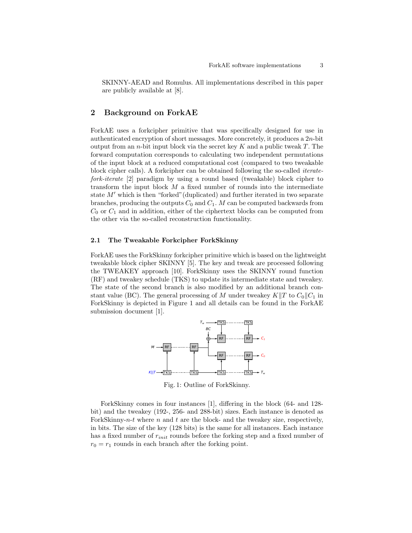SKINNY-AEAD and Romulus. All implementations described in this paper are publicly available at [\[8\]](#page-14-6).

# 2 Background on ForkAE

ForkAE uses a forkcipher primitive that was specifically designed for use in authenticated encryption of short messages. More concretely, it produces a 2n-bit output from an *n*-bit input block via the secret key  $K$  and a public tweak  $T$ . The forward computation corresponds to calculating two independent permutations of the input block at a reduced computational cost (compared to two tweakable block cipher calls). A forkcipher can be obtained following the so-called iteratefork-iterate [\[2\]](#page-14-1) paradigm by using a round based (tweakable) block cipher to transform the input block  $M$  a fixed number of rounds into the intermediate state  $M'$  which is then "forked" (duplicated) and further iterated in two separate branches, producing the outputs  $C_0$  and  $C_1$ . M can be computed backwards from  $C_0$  or  $C_1$  and in addition, either of the ciphertext blocks can be computed from the other via the so-called reconstruction functionality.

## 2.1 The Tweakable Forkcipher ForkSkinny

ForkAE uses the ForkSkinny forkcipher primitive which is based on the lightweight tweakable block cipher SKINNY [\[5\]](#page-14-3). The key and tweak are processed following the TWEAKEY approach [\[10\]](#page-14-7). ForkSkinny uses the SKINNY round function (RF) and tweakey schedule (TKS) to update its intermediate state and tweakey. The state of the second branch is also modified by an additional branch constant value (BC). The general processing of M under tweakey  $K||T$  to  $C_0||C_1$  in ForkSkinny is depicted in Figure [1](#page-2-0) and all details can be found in the ForkAE submission document [\[1\]](#page-14-0).

<span id="page-2-0"></span>

Fig. 1: Outline of ForkSkinny.

ForkSkinny comes in four instances [\[1\]](#page-14-0), differing in the block (64- and 128 bit) and the tweakey (192-, 256- and 288-bit) sizes. Each instance is denoted as ForkSkinny-n-t where  $n$  and  $t$  are the block- and the tweakey size, respectively, in bits. The size of the key (128 bits) is the same for all instances. Each instance has a fixed number of  $r_{init}$  rounds before the forking step and a fixed number of  $r_0 = r_1$  rounds in each branch after the forking point.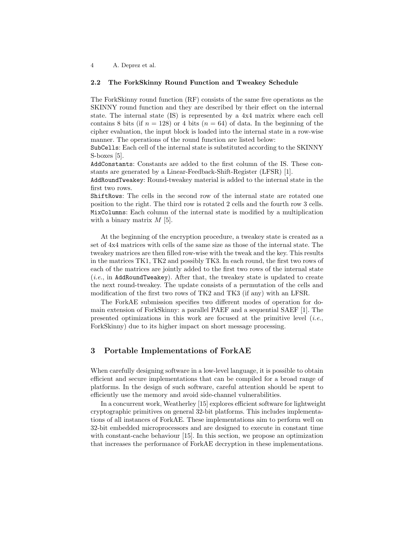## <span id="page-3-0"></span>2.2 The ForkSkinny Round Function and Tweakey Schedule

The ForkSkinny round function (RF) consists of the same five operations as the SKINNY round function and they are described by their effect on the internal state. The internal state (IS) is represented by a 4x4 matrix where each cell contains 8 bits (if  $n = 128$ ) or 4 bits  $(n = 64)$  of data. In the beginning of the cipher evaluation, the input block is loaded into the internal state in a row-wise manner. The operations of the round function are listed below:

SubCells: Each cell of the internal state is substituted according to the SKINNY S-boxes [\[5\]](#page-14-3).

AddConstants: Constants are added to the first column of the IS. These constants are generated by a Linear-Feedback-Shift-Register (LFSR) [\[1\]](#page-14-0).

AddRoundTweakey: Round-tweakey material is added to the internal state in the first two rows.

ShiftRows: The cells in the second row of the internal state are rotated one position to the right. The third row is rotated 2 cells and the fourth row 3 cells. MixColumns: Each column of the internal state is modified by a multiplication with a binary matrix  $M$  [\[5\]](#page-14-3).

At the beginning of the encryption procedure, a tweakey state is created as a set of 4x4 matrices with cells of the same size as those of the internal state. The tweakey matrices are then filled row-wise with the tweak and the key. This results in the matrices TK1, TK2 and possibly TK3. In each round, the first two rows of each of the matrices are jointly added to the first two rows of the internal state  $(i.e.,$  in AddRoundTweakey). After that, the tweakey state is updated to create the next round-tweakey. The update consists of a permutation of the cells and modification of the first two rows of TK2 and TK3 (if any) with an LFSR.

The ForkAE submission specifies two different modes of operation for domain extension of ForkSkinny: a parallel PAEF and a sequential SAEF [\[1\]](#page-14-0). The presented optimizations in this work are focused at the primitive level  $(i.e.,$ ForkSkinny) due to its higher impact on short message processing.

# <span id="page-3-1"></span>3 Portable Implementations of ForkAE

When carefully designing software in a low-level language, it is possible to obtain efficient and secure implementations that can be compiled for a broad range of platforms. In the design of such software, careful attention should be spent to efficiently use the memory and avoid side-channel vulnerabilities.

In a concurrent work, Weatherley [\[15\]](#page-15-0) explores efficient software for lightweight cryptographic primitives on general 32-bit platforms. This includes implementations of all instances of ForkAE. These implementations aim to perform well on 32-bit embedded microprocessors and are designed to execute in constant time with constant-cache behaviour [\[15\]](#page-15-0). In this section, we propose an optimization that increases the performance of ForkAE decryption in these implementations.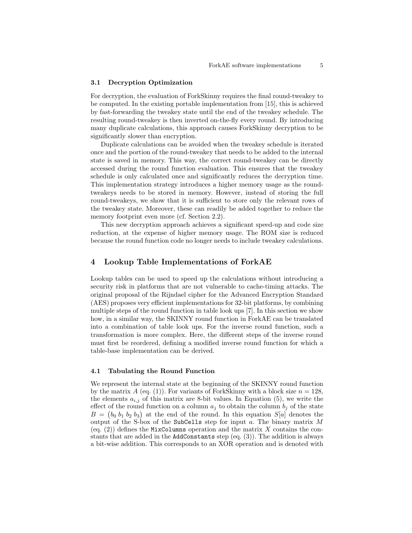### <span id="page-4-0"></span>3.1 Decryption Optimization

For decryption, the evaluation of ForkSkinny requires the final round-tweakey to be computed. In the existing portable implementation from [\[15\]](#page-15-0), this is achieved by fast-forwarding the tweakey state until the end of the tweakey schedule. The resulting round-tweakey is then inverted on-the-fly every round. By introducing many duplicate calculations, this approach causes ForkSkinny decryption to be significantly slower than encryption.

Duplicate calculations can be avoided when the tweakey schedule is iterated once and the portion of the round-tweakey that needs to be added to the internal state is saved in memory. This way, the correct round-tweakey can be directly accessed during the round function evaluation. This ensures that the tweakey schedule is only calculated once and significantly reduces the decryption time. This implementation strategy introduces a higher memory usage as the roundtweakeys needs to be stored in memory. However, instead of storing the full round-tweakeys, we show that it is sufficient to store only the relevant rows of the tweakey state. Moreover, these can readily be added together to reduce the memory footprint even more (cf. Section [2.2\)](#page-3-0).

This new decryption approach achieves a significant speed-up and code size reduction, at the expense of higher memory usage. The ROM size is reduced because the round function code no longer needs to include tweakey calculations.

# <span id="page-4-1"></span>4 Lookup Table Implementations of ForkAE

Lookup tables can be used to speed up the calculations without introducing a security risk in platforms that are not vulnerable to cache-timing attacks. The original proposal of the Rijndael cipher for the Advanced Encryption Standard (AES) proposes very efficient implementations for 32-bit platforms, by combining multiple steps of the round function in table look ups [\[7\]](#page-14-8). In this section we show how, in a similar way, the SKINNY round function in ForkAE can be translated into a combination of table look ups. For the inverse round function, such a transformation is more complex. Here, the different steps of the inverse round must first be reordered, defining a modified inverse round function for which a table-base implementation can be derived.

### 4.1 Tabulating the Round Function

We represent the internal state at the beginning of the SKINNY round function by the matrix A (eq. [\(1\)](#page-5-0)). For variants of ForkSkinny with a block size  $n = 128$ , the elements  $a_{i,j}$  of this matrix are 8-bit values. In Equation [\(5\)](#page-5-1), we write the effect of the round function on a column  $a_j$  to obtain the column  $b_j$  of the state  $B = (b_0, b_1, b_2, b_3)$  at the end of the round. In this equation  $S[a]$  denotes the output of the S-box of the SubCells step for input  $a$ . The binary matrix  $M$ (eq.  $(2)$ ) defines the MixColumns operation and the matrix X contains the constants that are added in the AddConstants step (eq. [\(3\)](#page-5-3)). The addition is always a bit-wise addition. This corresponds to an XOR operation and is denoted with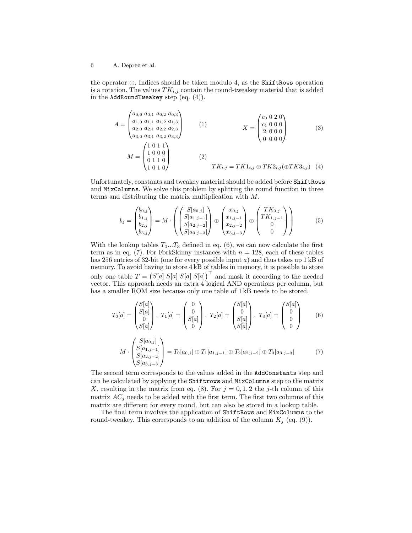<span id="page-5-0"></span>the operator ⊕. Indices should be taken modulo 4, as the ShiftRows operation is a rotation. The values  $TK_{i,j}$  contain the round-tweakey material that is added in the AddRoundTweakey step (eq. [\(4\)](#page-5-4)).

<span id="page-5-4"></span><span id="page-5-3"></span><span id="page-5-2"></span>
$$
A = \begin{pmatrix} a_{0,0} & a_{0,1} & a_{0,2} & a_{0,3} \\ a_{1,0} & a_{1,1} & a_{1,2} & a_{1,3} \\ a_{2,0} & a_{2,1} & a_{2,2} & a_{2,3} \\ a_{3,0} & a_{3,1} & a_{3,2} & a_{3,3} \end{pmatrix}
$$
 (1)  

$$
M = \begin{pmatrix} 1 & 0 & 1 & 1 \\ 1 & 0 & 0 & 0 \\ 0 & 1 & 1 & 0 \\ 1 & 0 & 1 & 0 \end{pmatrix}
$$
 (2)  

$$
TK_{i,j} = TK1_{i,j} \oplus TK2_{i,j}(\oplus TK3_{i,j})
$$
 (4)

Unfortunately, constants and tweakey material should be added before ShiftRows and MixColumns. We solve this problem by splitting the round function in three terms and distributing the matrix multiplication with M.

<span id="page-5-1"></span>
$$
b_j = \begin{pmatrix} b_{0,j} \\ b_{1,j} \\ b_{2,j} \\ b_{3,j} \end{pmatrix} = M \cdot \begin{pmatrix} S[a_{0,j}] \\ S[a_{1,j-1}] \\ S[a_{2,j-2}] \\ S[a_{3,j-3}] \end{pmatrix} \oplus \begin{pmatrix} x_{0,j} \\ x_{1,j-1} \\ x_{2,j-2} \\ x_{3,j-3} \end{pmatrix} \oplus \begin{pmatrix} TK_{0,j} \\ TK_{1,j-1} \\ 0 \\ 0 \end{pmatrix}
$$
 (5)

With the lookup tables  $T_0...T_3$  defined in eq. [\(6\)](#page-5-5), we can now calculate the first term as in eq. [\(7\)](#page-5-6). For ForkSkinny instances with  $n = 128$ , each of these tables has 256 entries of 32-bit (one for every possible input  $a$ ) and thus takes up  $1 \text{ kB}$  of memory. To avoid having to store 4 kB of tables in memory, it is possible to store only one table  $T = (S[a] S[a] S[a])^{\top}$  and mask it according to the needed vector. This approach needs an extra 4 logical AND operations per column, but has a smaller ROM size because only one table of  $1 \text{ kB}$  needs to be stored.

$$
T_0[a] = \begin{pmatrix} S[a] \\ S[a] \\ 0 \\ S[a] \end{pmatrix}, T_1[a] = \begin{pmatrix} 0 \\ 0 \\ S[a] \\ 0 \end{pmatrix}, T_2[a] = \begin{pmatrix} S[a] \\ 0 \\ S[a] \\ S[a] \end{pmatrix}, T_3[a] = \begin{pmatrix} S[a] \\ 0 \\ 0 \\ 0 \end{pmatrix}
$$
(6)

<span id="page-5-6"></span><span id="page-5-5"></span>
$$
M \cdot \begin{pmatrix} S[a_{0,j}] \\ S[a_{1,j-1}] \\ S[a_{2,j-2}] \\ S[a_{3,j-3}] \end{pmatrix} = T_0[a_{0,j}] \oplus T_1[a_{1,j-1}] \oplus T_2[a_{2,j-2}] \oplus T_3[a_{3,j-3}] \tag{7}
$$

The second term corresponds to the values added in the AddConstants step and can be calculated by applying the Shiftrows and MixColumns step to the matrix X, resulting in the matrix from eq. [\(8\)](#page-6-0). For  $j = 0, 1, 2$  the j-th column of this matrix  $AC_j$  needs to be added with the first term. The first two columns of this matrix are different for every round, but can also be stored in a lookup table.

The final term involves the application of ShiftRows and MixColumns to the round-tweakey. This corresponds to an addition of the column  $K_j$  (eq. [\(9\)](#page-6-1)).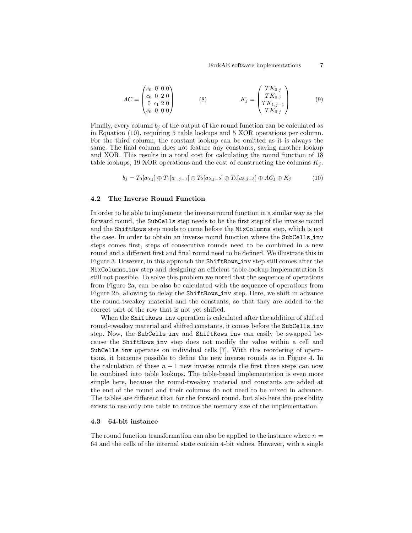<span id="page-6-1"></span><span id="page-6-0"></span>
$$
AC = \begin{pmatrix} c_0 & 0 & 0 & 0 \\ c_0 & 0 & 2 & 0 \\ 0 & c_1 & 2 & 0 \\ c_0 & 0 & 0 & 0 \end{pmatrix}
$$
 (8) 
$$
K_j = \begin{pmatrix} TK_{0,j} \\ TK_{0,j} \\ TK_{1,j-1} \\ TK_{0,j} \end{pmatrix}
$$
 (9)

Finally, every column  $b_i$  of the output of the round function can be calculated as in Equation [\(10\)](#page-6-2), requiring 5 table lookups and 5 XOR operations per column. For the third column, the constant lookup can be omitted as it is always the same. The final column does not feature any constants, saving another lookup and XOR. This results in a total cost for calculating the round function of 18 table lookups, 19 XOR operations and the cost of constructing the columns  $K_i$ .

$$
b_j = T_0[a_{0,j}] \oplus T_1[a_{1,j-1}] \oplus T_2[a_{2,j-2}] \oplus T_3[a_{3,j-3}] \oplus AC_j \oplus K_j
$$
 (10)

### <span id="page-6-2"></span>4.2 The Inverse Round Function

In order to be able to implement the inverse round function in a similar way as the forward round, the SubCells step needs to be the first step of the inverse round and the ShiftRows step needs to come before the MixColumns step, which is not the case. In order to obtain an inverse round function where the SubCells inv steps comes first, steps of consecutive rounds need to be combined in a new round and a different first and final round need to be defined. We illustrate this in Figure [3.](#page-7-0) However, in this approach the ShiftRows inv step still comes after the MixColumns inv step and designing an efficient table-lookup implementation is still not possible. To solve this problem we noted that the sequence of operations from Figure [2a,](#page-7-0) can be also be calculated with the sequence of operations from Figure [2b,](#page-7-0) allowing to delay the ShiftRows inv step. Here, we shift in advance the round-tweakey material and the constants, so that they are added to the correct part of the row that is not yet shifted.

When the ShiftRows\_inv operation is calculated after the addition of shifted round-tweakey material and shifted constants, it comes before the SubCells inv step. Now, the SubCells inv and ShiftRows inv can easily be swapped because the ShiftRows inv step does not modify the value within a cell and SubCells inv operates on individual cells [\[7\]](#page-14-8). With this reordering of operations, it becomes possible to define the new inverse rounds as in Figure [4.](#page-7-0) In the calculation of these  $n - 1$  new inverse rounds the first three steps can now be combined into table lookups. The table-based implementation is even more simple here, because the round-tweakey material and constants are added at the end of the round and their columns do not need to be mixed in advance. The tables are different than for the forward round, but also here the possibility exists to use only one table to reduce the memory size of the implementation.

## 4.3 64-bit instance

The round function transformation can also be applied to the instance where  $n =$ 64 and the cells of the internal state contain 4-bit values. However, with a single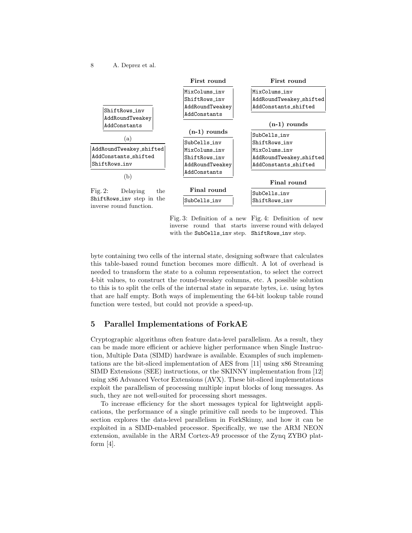8 A. Deprez et al.

<span id="page-7-0"></span>

Fig. 3: Definition of a new Fig. 4: Definition of new inverse round that starts inverse round with delayed with the SubCells inv step. ShiftRows inv step.

byte containing two cells of the internal state, designing software that calculates this table-based round function becomes more difficult. A lot of overhead is needed to transform the state to a column representation, to select the correct 4-bit values, to construct the round-tweakey columns, etc. A possible solution to this is to split the cells of the internal state in separate bytes, i.e. using bytes that are half empty. Both ways of implementing the 64-bit lookup table round function were tested, but could not provide a speed-up.

# 5 Parallel Implementations of ForkAE

Cryptographic algorithms often feature data-level parallelism. As a result, they can be made more efficient or achieve higher performance when Single Instruction, Multiple Data (SIMD) hardware is available. Examples of such implementations are the bit-sliced implementation of AES from [\[11\]](#page-14-9) using x86 Streaming SIMD Extensions (SEE) instructions, or the SKINNY implementation from [\[12\]](#page-14-10) using x86 Advanced Vector Extensions (AVX). These bit-sliced implementations exploit the parallelism of processing multiple input blocks of long messages. As such, they are not well-suited for processing short messages.

To increase efficiency for the short messages typical for lightweight applications, the performance of a single primitive call needs to be improved. This section explores the data-level parallelism in ForkSkinny, and how it can be exploited in a SIMD-enabled processor. Specifically, we use the ARM NEON extension, available in the ARM Cortex-A9 processor of the Zynq ZYBO platform  $[4]$ .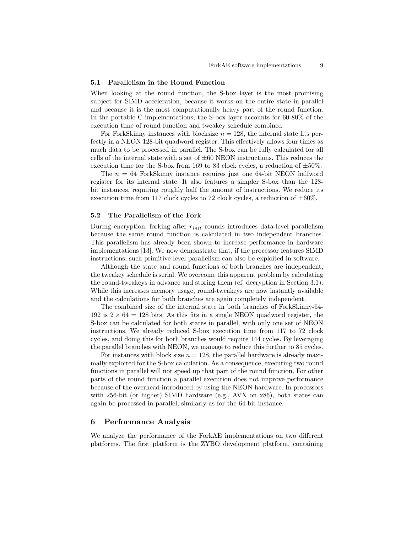#### 5.1 Parallelism in the Round Function

When looking at the round function, the S-box layer is the most promising subject for SIMD acceleration, because it works on the entire state in parallel and because it is the most computationally heavy part of the round function. In the portable C implementations, the S-box layer accounts for 60-80% of the execution time of round function and tweakey schedule combined.

For ForkSkinny instances with blocksize  $n = 128$ , the internal state fits perfectly in a NEON 128-bit quadword register. This effectively allows four times as much data to be processed in parallel. The S-box can be fully calculated for all cells of the internal state with a set of  $\pm 60$  NEON instructions. This reduces the execution time for the S-box from 169 to 83 clock cycles, a reduction of  $\pm 50\%$ .

The  $n = 64$  ForkSkinny instance requires just one 64-bit NEON halfword register for its internal state. It also features a simpler S-box than the 128 bit instances, requiring roughly half the amount of instructions. We reduce its execution time from 117 clock cycles to 72 clock cycles, a reduction of  $\pm 60\%$ .

### 5.2 The Parallelism of the Fork

During encryption, forking after  $r_{init}$  rounds introduces data-level parallelism because the same round function is calculated in two independent branches. This parallelism has already been shown to increase performance in hardware implementations [\[13\]](#page-14-12). We now demonstrate that, if the processor features SIMD instructions, such primitive-level parallelism can also be exploited in software.

Although the state and round functions of both branches are independent, the tweakey schedule is serial. We overcome this apparent problem by calculating the round-tweakeys in advance and storing them (cf. decryption in Section [3.1\)](#page-4-0). While this increases memory usage, round-tweakeys are now instantly available and the calculations for both branches are again completely independent.

The combined size of the internal state in both branches of ForkSkinny-64- 192 is  $2 \times 64 = 128$  bits. As this fits in a single NEON quadword register, the S-box can be calculated for both states in parallel, with only one set of NEON instructions. We already reduced S-box execution time from 117 to 72 clock cycles, and doing this for both branches would require 144 cycles. By leveraging the parallel branches with NEON, we manage to reduce this further to 85 cycles.

For instances with block size  $n = 128$ , the parallel hardware is already maximally exploited for the S-box calculation. As a consequence, executing two round functions in parallel will not speed up that part of the round function. For other parts of the round function a parallel execution does not improve performance because of the overhead introduced by using the NEON hardware. In processors with 256-bit (or higher) SIMD hardware (e.g., AVX on x86), both states can again be processed in parallel, similarly as for the 64-bit instance.

# 6 Performance Analysis

We analyze the performance of the ForkAE implementations on two different platforms. The first platform is the ZYBO development platform, containing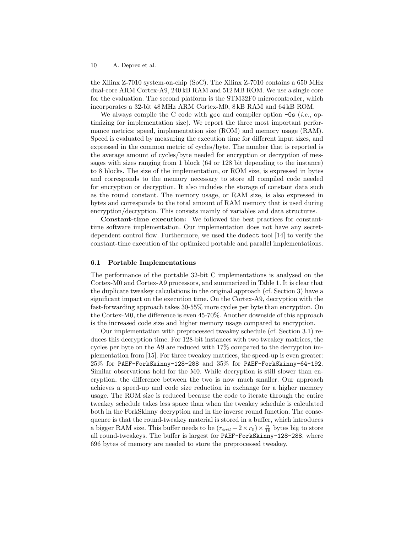the Xilinx Z-7010 system-on-chip (SoC). The Xilinx Z-7010 contains a 650 MHz dual-core ARM Cortex-A9, 240 kB RAM and 512 MB ROM. We use a single core for the evaluation. The second platform is the STM32F0 microcontroller, which incorporates a 32-bit 48 MHz ARM Cortex-M0, 8 kB RAM and 64 kB ROM.

We always compile the C code with gcc and compiler option  $-\text{Os}(i.e.,$  optimizing for implementation size). We report the three most important performance metrics: speed, implementation size (ROM) and memory usage (RAM). Speed is evaluated by measuring the execution time for different input sizes, and expressed in the common metric of cycles/byte. The number that is reported is the average amount of cycles/byte needed for encryption or decryption of messages with sizes ranging from 1 block (64 or 128 bit depending to the instance) to 8 blocks. The size of the implementation, or ROM size, is expressed in bytes and corresponds to the memory necessary to store all compiled code needed for encryption or decryption. It also includes the storage of constant data such as the round constant. The memory usage, or RAM size, is also expressed in bytes and corresponds to the total amount of RAM memory that is used during encryption/decryption. This consists mainly of variables and data structures.

Constant-time execution: We followed the best practices for constanttime software implementation. Our implementation does not have any secretdependent control flow. Furthermore, we used the dudect tool [\[14\]](#page-15-1) to verify the constant-time execution of the optimized portable and parallel implementations.

### 6.1 Portable Implementations

The performance of the portable 32-bit C implementations is analysed on the Cortex-M0 and Cortex-A9 processors, and summarized in Table [1.](#page-10-0) It is clear that the duplicate tweakey calculations in the original approach (cf. Section [3\)](#page-3-1) have a significant impact on the execution time. On the Cortex-A9, decryption with the fast-forwarding approach takes 30-55% more cycles per byte than encryption. On the Cortex-M0, the difference is even 45-70%. Another downside of this approach is the increased code size and higher memory usage compared to encryption.

Our implementation with preprocessed tweakey schedule (cf. Section [3.1\)](#page-4-0) reduces this decryption time. For 128-bit instances with two tweakey matrices, the cycles per byte on the A9 are reduced with 17% compared to the decryption implementation from [\[15\]](#page-15-0). For three tweakey matrices, the speed-up is even greater: 25% for PAEF-ForkSkinny-128-288 and 35% for PAEF-ForkSkinny-64-192. Similar observations hold for the M0. While decryption is still slower than encryption, the difference between the two is now much smaller. Our approach achieves a speed-up and code size reduction in exchange for a higher memory usage. The ROM size is reduced because the code to iterate through the entire tweakey schedule takes less space than when the tweakey schedule is calculated both in the ForkSkinny decryption and in the inverse round function. The consequence is that the round-tweakey material is stored in a buffer, which introduces a bigger RAM size. This buffer needs to be  $(r_{init} + 2 \times r_0) \times \frac{n}{16}$  bytes big to store all round-tweakeys. The buffer is largest for PAEF-ForkSkinny-128-288, where 696 bytes of memory are needed to store the preprocessed tweakey.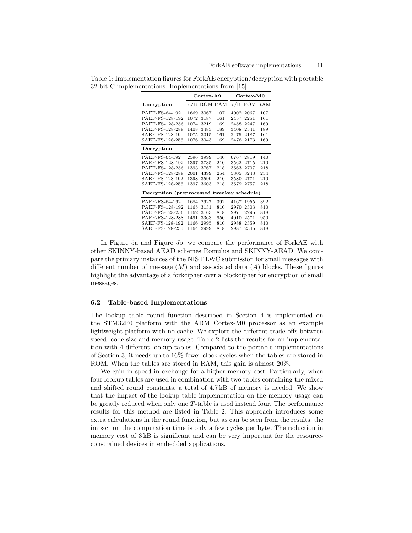<span id="page-10-0"></span>Table 1: Implementation figures for ForkAE encryption/decryption with portable 32-bit C implementations. Implementations from [\[15\]](#page-15-0).

|                                            | $\overline{\text{Cortex}}$ -A9 |      |         | Cortex-M0 |         |     |
|--------------------------------------------|--------------------------------|------|---------|-----------|---------|-----|
| Encryption                                 | c/B                            |      | ROM RAM | c/B       | ROM RAM |     |
| PAEF-FS-64-192                             | 1669                           | 3067 | 107     | 4002      | 2067    | 107 |
| PAEF-FS-128-192                            | 1072                           | 3187 | 161     | 2457      | 2251    | 161 |
| PAEF-FS-128-256                            | 1074                           | 3219 | 169     | 2458      | 2247    | 169 |
| PAEF-FS-128-288                            | 1408                           | 3483 | 189     | 3408      | 2541    | 189 |
| SAEF-FS-128-19                             | 1075                           | 3015 | 161     | 2475      | 2187    | 161 |
| SAEF-FS-128-256                            | 1076                           | 3043 | 169     | 2476      | 2173    | 169 |
| Decryption                                 |                                |      |         |           |         |     |
| PAEF-FS-64-192                             | 2596                           | 3999 | 140     | 6767      | 2819    | 140 |
| PAEF-FS-128-192                            | 1397                           | 3735 | 210     | 3562      | 2715    | 210 |
| PAEF-FS-128-256                            | 1393                           | 3767 | 218     | 3563      | 2707    | 218 |
| PAEF-FS-128-288                            | 2001                           | 4399 | 254     | 5305      | 3243    | 254 |
| SAEF-FS-128-192                            | 1398                           | 3599 | 210     | 3580      | 2771    | 210 |
| SAEF-FS-128-256                            | 1397                           | 3603 | 218     | 3579      | 2757    | 218 |
| Decryption (preprocessed tweakey schedule) |                                |      |         |           |         |     |
| PAEF-FS-64-192                             | 1684                           | 2927 | 392     | 4167      | 1955    | 392 |
| PAEF-FS-128-192                            | 1165                           | 3131 | 810     | 2970      | 2303    | 810 |
| PAEF-FS-128-256                            | 1162                           | 3163 | 818     | 2971      | 2295    | 818 |
| PAEF-FS-128-288                            | 1491                           | 3363 | 950     | 4010      | 2571    | 950 |
| SAEF-FS-128-192                            | 1166                           | 2995 | 810     | 2988      | 2359    | 810 |
| SAEF-FS-128-256                            | 1164                           | 2999 | 818     | 2987      | 2345    | 818 |

In Figure [5a](#page-11-0) and Figure [5b,](#page-11-0) we compare the performance of ForkAE with other SKINNY-based AEAD schemes Romulus and SKINNY-AEAD. We compare the primary instances of the NIST LWC submission for small messages with different number of message  $(M)$  and associated data  $(A)$  blocks. These figures highlight the advantage of a forkcipher over a blockcipher for encryption of small messages.

### 6.2 Table-based Implementations

The lookup table round function described in Section [4](#page-4-1) is implemented on the STM32F0 platform with the ARM Cortex-M0 processor as an example lightweight platform with no cache. We explore the different trade-offs between speed, code size and memory usage. Table [2](#page-11-1) lists the results for an implementation with 4 different lookup tables. Compared to the portable implementations of Section [3,](#page-3-1) it needs up to 16% fewer clock cycles when the tables are stored in ROM. When the tables are stored in RAM, this gain is almost 20%.

We gain in speed in exchange for a higher memory cost. Particularly, when four lookup tables are used in combination with two tables containing the mixed and shifted round constants, a total of 4.7 kB of memory is needed. We show that the impact of the lookup table implementation on the memory usage can be greatly reduced when only one T-table is used instead four. The performance results for this method are listed in Table [2.](#page-11-1) This approach introduces some extra calculations in the round function, but as can be seen from the results, the impact on the computation time is only a few cycles per byte. The reduction in memory cost of  $3kB$  is significant and can be very important for the resourceconstrained devices in embedded applications.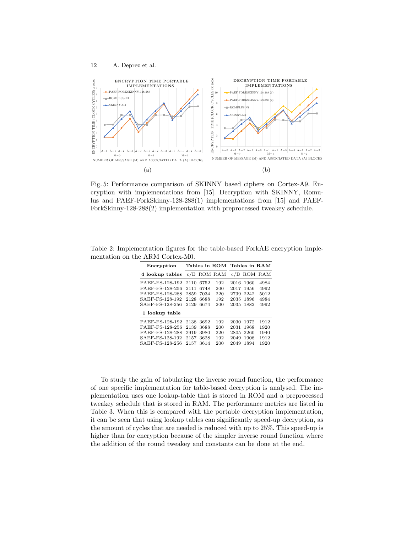<span id="page-11-0"></span>

Fig. 5: Performance comparison of SKINNY based ciphers on Cortex-A9. Encryption with implementations from [\[15\]](#page-15-0). Decryption with SKINNY, Romulus and PAEF-ForkSkinny-128-288(1) implementations from [\[15\]](#page-15-0) and PAEF-ForkSkinny-128-288(2) implementation with preprocessed tweakey schedule.

| Encryption      |      |         |     | Tables in ROM Tables in RAM |      |              |  |
|-----------------|------|---------|-----|-----------------------------|------|--------------|--|
| 4 lookup tables | c/B  | ROM RAM |     | c/B                         | ROM  | $_{\rm RAM}$ |  |
| PAEF-FS-128-192 | 2110 | 6752    | 192 | 2016                        | 1960 | 4984         |  |
| PAEF-FS-128-256 | 2111 | 6748    | 200 | 2017                        | 1956 | 4992         |  |
| PAEF-FS-128-288 | 2859 | 7034    | 220 | 2739                        | 2242 | 5012         |  |
| SAEF-FS-128-192 | 2128 | 6688    | 192 | 2035                        | 1896 | 4984         |  |
| SAEF-FS-128-256 | 2129 | 6674    | 200 | 2035                        | 1882 | 4992         |  |
| 1 lookup table  |      |         |     |                             |      |              |  |
| PAEF-FS-128-192 | 2138 | 3692    | 192 | 2030                        | 1972 | 1912         |  |
| PAEF-FS-128-256 | 2139 | 3688    | 200 | 2031                        | 1968 | 1920         |  |
| PAEF-FS-128-288 | 2919 | 3980    | 220 | 2805                        | 2260 | 1940         |  |
| SAEF-FS-128-192 | 2157 | 3628    | 192 | 2049                        | 1908 | 1912         |  |
| SAEF-FS-128-256 | 2157 | 3614    | 200 | 2049                        | 1894 | 1920         |  |

<span id="page-11-1"></span>Table 2: Implementation figures for the table-based ForkAE encryption implementation on the ARM Cortex-M0.

To study the gain of tabulating the inverse round function, the performance of one specific implementation for table-based decryption is analysed. The implementation uses one lookup-table that is stored in ROM and a preprocessed tweakey schedule that is stored in RAM. The performance metrics are listed in Table [3.](#page-12-0) When this is compared with the portable decryption implementation, it can be seen that using lookup tables can significantly speed-up decryption, as the amount of cycles that are needed is reduced with up to 25%. This speed-up is higher than for encryption because of the simpler inverse round function where the addition of the round tweakey and constants can be done at the end.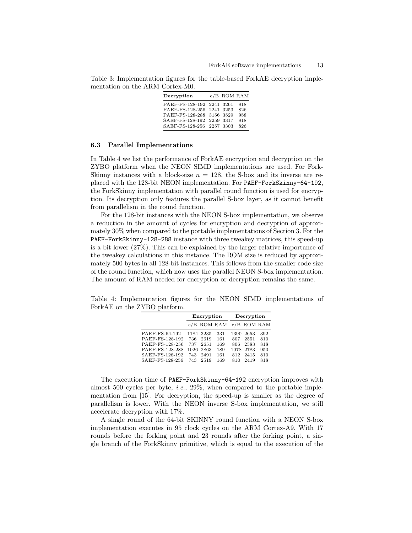<span id="page-12-0"></span>Table 3: Implementation figures for the table-based ForkAE decryption implementation on the ARM Cortex-M0.

| Decryption                | $c/B$ ROM RAM |     |
|---------------------------|---------------|-----|
| PAEF-FS-128-192 2241 3261 |               | 818 |
| PAEF-FS-128-256 2241 3253 |               | 826 |
| PAEF-FS-128-288 3156 3529 |               | 958 |
| SAEF-FS-128-192 2259 3317 |               | 818 |
| SAEF-FS-128-256 2257 3303 |               | 826 |

#### 6.3 Parallel Implementations

In Table [4](#page-12-1) we list the performance of ForkAE encryption and decryption on the ZYBO platform when the NEON SIMD implementations are used. For Fork-Skinny instances with a block-size  $n = 128$ , the S-box and its inverse are replaced with the 128-bit NEON implementation. For PAEF-ForkSkinny-64-192, the ForkSkinny implementation with parallel round function is used for encryption. Its decryption only features the parallel S-box layer, as it cannot benefit from parallelism in the round function.

For the 128-bit instances with the NEON S-box implementation, we observe a reduction in the amount of cycles for encryption and decryption of approximately 30% when compared to the portable implementations of Section [3.](#page-3-1) For the PAEF-ForkSkinny-128-288 instance with three tweakey matrices, this speed-up is a bit lower (27%). This can be explained by the larger relative importance of the tweakey calculations in this instance. The ROM size is reduced by approximately 500 bytes in all 128-bit instances. This follows from the smaller code size of the round function, which now uses the parallel NEON S-box implementation. The amount of RAM needed for encryption or decryption remains the same.

<span id="page-12-1"></span>Table 4: Implementation figures for the NEON SIMD implementations of ForkAE on the ZYBO platform.

|                 | Encryption |           |               | Decryption |               |     |
|-----------------|------------|-----------|---------------|------------|---------------|-----|
|                 |            |           | $c/B$ ROM RAM |            | $c/B$ ROM RAM |     |
| PAEF-FS-64-192  |            | 1184 3235 | 331           |            | 1390 2653     | 392 |
| PAEF-FS-128-192 | 736        | 2619      | 161           | 807        | 2551          | 810 |
| PAEF-FS-128-256 | 737        | 2651      | 169           |            | 806 2583      | 818 |
| PAEF-FS-128-288 |            | 1026 2863 | 189           |            | 1078 2783     | 950 |
| SAEF-FS-128-192 | 743        | 2491      | 161           |            | 812 2415      | 810 |
| SAEF-FS-128-256 | 743        | 2519      | 169           | 810        | 2419          | 818 |

The execution time of PAEF-ForkSkinny-64-192 encryption improves with almost 500 cycles per byte, i.e., 29%, when compared to the portable implementation from [\[15\]](#page-15-0). For decryption, the speed-up is smaller as the degree of parallelism is lower. With the NEON inverse S-box implementation, we still accelerate decryption with 17%.

A single round of the 64-bit SKINNY round function with a NEON S-box implementation executes in 95 clock cycles on the ARM Cortex-A9. With 17 rounds before the forking point and 23 rounds after the forking point, a single branch of the ForkSkinny primitive, which is equal to the execution of the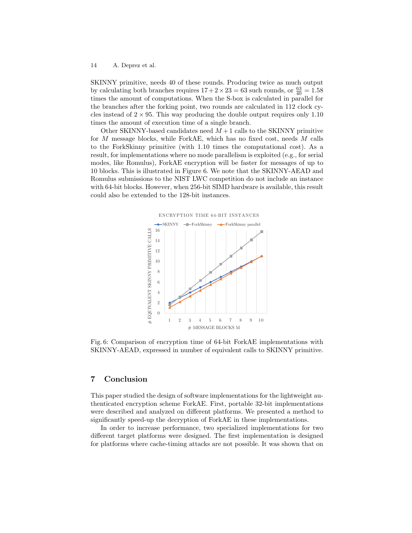SKINNY primitive, needs 40 of these rounds. Producing twice as much output by calculating both branches requires  $17 + 2 \times 23 = 63$  such rounds, or  $\frac{63}{40} = 1.58$ times the amount of computations. When the S-box is calculated in parallel for the branches after the forking point, two rounds are calculated in 112 clock cycles instead of  $2 \times 95$ . This way producing the double output requires only 1.10 times the amount of execution time of a single branch.

Other SKINNY-based candidates need  $M+1$  calls to the SKINNY primitive for M message blocks, while ForkAE, which has no fixed cost, needs M calls to the ForkSkinny primitive (with 1.10 times the computational cost). As a result, for implementations where no mode parallelism is exploited (e.g., for serial modes, like Romulus), ForkAE encryption will be faster for messages of up to 10 blocks. This is illustrated in Figure [6.](#page-13-0) We note that the SKINNY-AEAD and Romulus submissions to the NIST LWC competition do not include an instance with 64-bit blocks. However, when 256-bit SIMD hardware is available, this result could also be extended to the 128-bit instances.

<span id="page-13-0"></span>

Fig. 6: Comparison of encryption time of 64-bit ForkAE implementations with SKINNY-AEAD, expressed in number of equivalent calls to SKINNY primitive.

# 7 Conclusion

This paper studied the design of software implementations for the lightweight authenticated encryption scheme ForkAE. First, portable 32-bit implementations were described and analyzed on different platforms. We presented a method to significantly speed-up the decryption of ForkAE in these implementations.

In order to increase performance, two specialized implementations for two different target platforms were designed. The first implementation is designed for platforms where cache-timing attacks are not possible. It was shown that on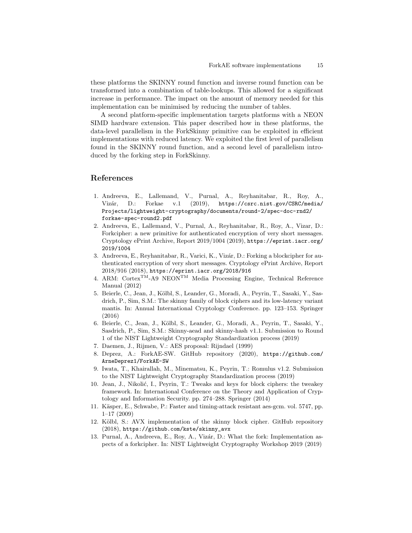these platforms the SKINNY round function and inverse round function can be transformed into a combination of table-lookups. This allowed for a significant increase in performance. The impact on the amount of memory needed for this implementation can be minimised by reducing the number of tables.

A second platform-specific implementation targets platforms with a NEON SIMD hardware extension. This paper described how in these platforms, the data-level parallelism in the ForkSkinny primitive can be exploited in efficient implementations with reduced latency. We exploited the first level of parallelism found in the SKINNY round function, and a second level of parallelism introduced by the forking step in ForkSkinny.

# References

- <span id="page-14-0"></span>1. Andreeva, E., Lallemand, V., Purnal, A., Reyhanitabar, R., Roy, A., Vizár, D.: Forkae v.1 (2019), [https://csrc.nist.gov/CSRC/media/](https://csrc.nist.gov/CSRC/media/Projects/lightweight-cryptography/documents/round-2/spec-doc-rnd2/forkae-spec-round2.pdf) [Projects/lightweight-cryptography/documents/round-2/spec-doc-rnd2/](https://csrc.nist.gov/CSRC/media/Projects/lightweight-cryptography/documents/round-2/spec-doc-rnd2/forkae-spec-round2.pdf) [forkae-spec-round2.pdf](https://csrc.nist.gov/CSRC/media/Projects/lightweight-cryptography/documents/round-2/spec-doc-rnd2/forkae-spec-round2.pdf)
- <span id="page-14-1"></span>2. Andreeva, E., Lallemand, V., Purnal, A., Reyhanitabar, R., Roy, A., Vizar, D.: Forkcipher: a new primitive for authenticated encryption of very short messages. Cryptology ePrint Archive, Report 2019/1004 (2019), [https://eprint.iacr.org/](https://eprint.iacr.org/2019/1004) [2019/1004](https://eprint.iacr.org/2019/1004)
- <span id="page-14-2"></span>3. Andreeva, E., Reyhanitabar, R., Varici, K., Vizár, D.: Forking a blockcipher for authenticated encryption of very short messages. Cryptology ePrint Archive, Report 2018/916 (2018), <https://eprint.iacr.org/2018/916>
- <span id="page-14-11"></span>4. ARM: CortexTM-A9 NEONTM Media Processing Engine, Technical Reference Manual (2012)
- <span id="page-14-3"></span>5. Beierle, C., Jean, J., Kölbl, S., Leander, G., Moradi, A., Peyrin, T., Sasaki, Y., Sasdrich, P., Sim, S.M.: The skinny family of block ciphers and its low-latency variant mantis. In: Annual International Cryptology Conference. pp. 123–153. Springer (2016)
- <span id="page-14-4"></span>6. Beierle, C., Jean, J., Kölbl, S., Leander, G., Moradi, A., Peyrin, T., Sasaki, Y., Sasdrich, P., Sim, S.M.: Skinny-aead and skinny-hash v1.1. Submission to Round 1 of the NIST Lightweight Cryptography Standardization process (2019)
- <span id="page-14-8"></span>7. Daemen, J., Rijmen, V.: AES proposal: Rijndael (1999)
- <span id="page-14-6"></span>8. Deprez, A.: ForkAE-SW. GitHub repository (2020), [https://github.com/](https://github.com/ArneDeprez1/ForkAE-SW) [ArneDeprez1/ForkAE-SW](https://github.com/ArneDeprez1/ForkAE-SW)
- <span id="page-14-5"></span>9. Iwata, T., Khairallah, M., Minematsu, K., Peyrin, T.: Romulus v1.2. Submission to the NIST Lightweight Cryptography Standardization process (2019)
- <span id="page-14-7"></span>10. Jean, J., Nikolić, I., Peyrin, T.: Tweaks and keys for block ciphers: the tweakey framework. In: International Conference on the Theory and Application of Cryptology and Information Security. pp. 274–288. Springer (2014)
- <span id="page-14-9"></span>11. Käsper, E., Schwabe, P.: Faster and timing-attack resistant aes-gcm. vol. 5747, pp. 1–17 (2009)
- <span id="page-14-10"></span>12. Kölbl, S.: AVX implementation of the skinny block cipher. GitHub repository (2018), [https://github.com/kste/skinny\\_avx](https://github.com/kste/skinny_avx)
- <span id="page-14-12"></span>13. Purnal, A., Andreeva, E., Roy, A., Vizár, D.: What the fork: Implementation aspects of a forkcipher. In: NIST Lightweight Cryptography Workshop 2019 (2019)